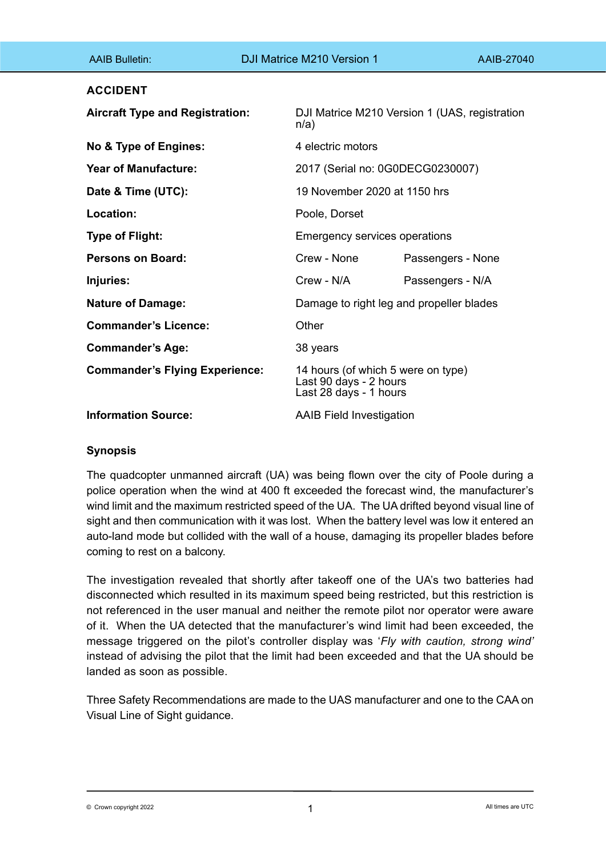| <b>AAIB Bulletin:</b>                  | DJI Matrice M210 Version 1                                                             | AAIB-27040                               |  |
|----------------------------------------|----------------------------------------------------------------------------------------|------------------------------------------|--|
| <b>ACCIDENT</b>                        |                                                                                        |                                          |  |
| <b>Aircraft Type and Registration:</b> | DJI Matrice M210 Version 1 (UAS, registration<br>n/a)                                  |                                          |  |
| No & Type of Engines:                  | 4 electric motors                                                                      |                                          |  |
| <b>Year of Manufacture:</b>            |                                                                                        | 2017 (Serial no: 0G0DECG0230007)         |  |
| Date & Time (UTC):                     |                                                                                        | 19 November 2020 at 1150 hrs             |  |
| Location:                              | Poole, Dorset                                                                          |                                          |  |
| <b>Type of Flight:</b>                 | <b>Emergency services operations</b>                                                   |                                          |  |
| <b>Persons on Board:</b>               | Crew - None                                                                            | Passengers - None                        |  |
| Injuries:                              | Crew - N/A                                                                             | Passengers - N/A                         |  |
| <b>Nature of Damage:</b>               |                                                                                        | Damage to right leg and propeller blades |  |
| <b>Commander's Licence:</b>            | Other                                                                                  |                                          |  |
| <b>Commander's Age:</b>                | 38 years                                                                               |                                          |  |
| <b>Commander's Flying Experience:</b>  | 14 hours (of which 5 were on type)<br>Last 90 days - 2 hours<br>Last 28 days - 1 hours |                                          |  |
| <b>Information Source:</b>             | <b>AAIB Field Investigation</b>                                                        |                                          |  |

# **Synopsis**

The quadcopter unmanned aircraft (UA) was being flown over the city of Poole during a police operation when the wind at 400 ft exceeded the forecast wind, the manufacturer's wind limit and the maximum restricted speed of the UA. The UA drifted beyond visual line of sight and then communication with it was lost. When the battery level was low it entered an auto-land mode but collided with the wall of a house, damaging its propeller blades before coming to rest on a balcony.

The investigation revealed that shortly after takeoff one of the UA's two batteries had disconnected which resulted in its maximum speed being restricted, but this restriction is not referenced in the user manual and neither the remote pilot nor operator were aware of it. When the UA detected that the manufacturer's wind limit had been exceeded, the message triggered on the pilot's controller display was '*Fly with caution, strong wind'* instead of advising the pilot that the limit had been exceeded and that the UA should be landed as soon as possible.

Three Safety Recommendations are made to the UAS manufacturer and one to the CAA on Visual Line of Sight guidance.

 $\bullet$  Crown copyright 2022 **All times are UTC**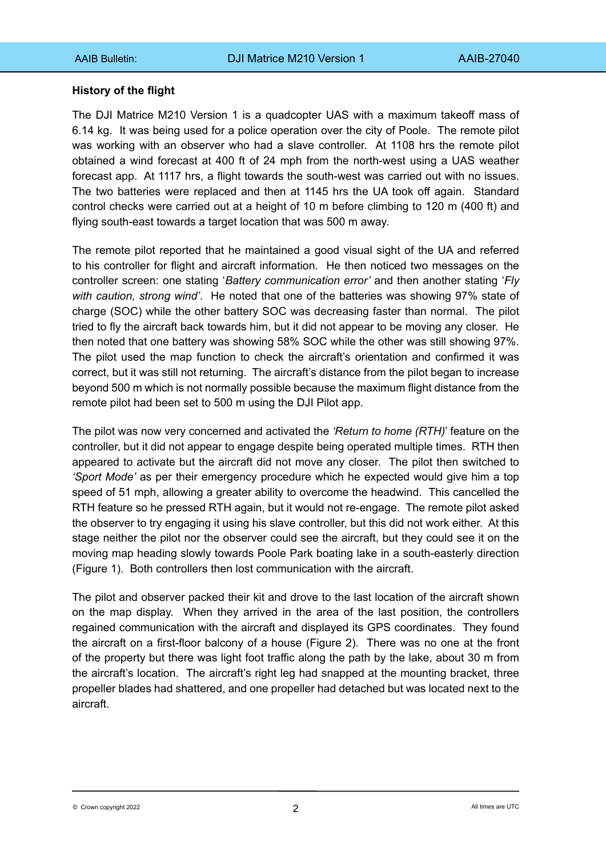# **History of the flight**

The DJI Matrice M210 Version 1 is a quadcopter UAS with a maximum takeoff mass of 6.14 kg. It was being used for a police operation over the city of Poole. The remote pilot was working with an observer who had a slave controller. At 1108 hrs the remote pilot obtained a wind forecast at 400 ft of 24 mph from the north-west using a UAS weather forecast app. At 1117 hrs, a flight towards the south-west was carried out with no issues. The two batteries were replaced and then at 1145 hrs the UA took off again. Standard control checks were carried out at a height of 10 m before climbing to 120 m (400 ft) and flying south-east towards a target location that was 500 m away.

The remote pilot reported that he maintained a good visual sight of the UA and referred to his controller for flight and aircraft information. He then noticed two messages on the controller screen: one stating '*Battery communication error'* and then another stating '*Fly with caution, strong wind'*. He noted that one of the batteries was showing 97% state of charge (SOC) while the other battery SOC was decreasing faster than normal. The pilot tried to fly the aircraft back towards him, but it did not appear to be moving any closer. He then noted that one battery was showing 58% SOC while the other was still showing 97%. The pilot used the map function to check the aircraft's orientation and confirmed it was correct, but it was still not returning. The aircraft's distance from the pilot began to increase beyond 500 m which is not normally possible because the maximum flight distance from the remote pilot had been set to 500 m using the DJI Pilot app.

The pilot was now very concerned and activated the *'Return to home (RTH)*' feature on the controller, but it did not appear to engage despite being operated multiple times. RTH then appeared to activate but the aircraft did not move any closer. The pilot then switched to *'Sport Mode'* as per their emergency procedure which he expected would give him a top speed of 51 mph, allowing a greater ability to overcome the headwind. This cancelled the RTH feature so he pressed RTH again, but it would not re-engage. The remote pilot asked the observer to try engaging it using his slave controller, but this did not work either. At this stage neither the pilot nor the observer could see the aircraft, but they could see it on the moving map heading slowly towards Poole Park boating lake in a south-easterly direction (Figure 1). Both controllers then lost communication with the aircraft.

The pilot and observer packed their kit and drove to the last location of the aircraft shown on the map display. When they arrived in the area of the last position, the controllers regained communication with the aircraft and displayed its GPS coordinates. They found the aircraft on a first-floor balcony of a house (Figure 2). There was no one at the front of the property but there was light foot traffic along the path by the lake, about 30 m from the aircraft's location. The aircraft's right leg had snapped at the mounting bracket, three propeller blades had shattered, and one propeller had detached but was located next to the aircraft.

2 © Crown copyright 2022 All times are UTC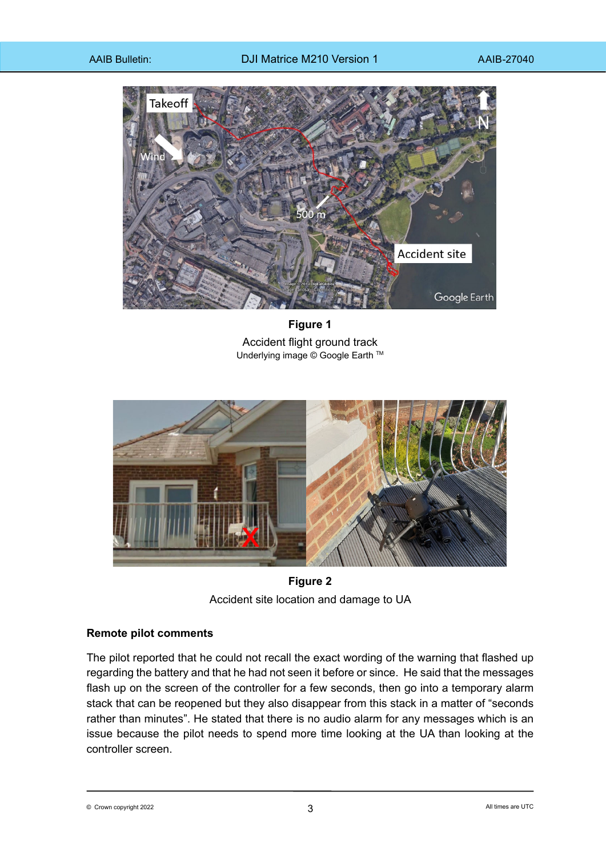

**Figure 1** Accident flight ground track Underlying image © Google Earth ™



**Figure 2** Accident site location and damage to UA

# **Remote pilot comments**

The pilot reported that he could not recall the exact wording of the warning that flashed up regarding the battery and that he had not seen it before or since. He said that the messages flash up on the screen of the controller for a few seconds, then go into a temporary alarm stack that can be reopened but they also disappear from this stack in a matter of "seconds rather than minutes". He stated that there is no audio alarm for any messages which is an issue because the pilot needs to spend more time looking at the UA than looking at the controller screen.

3 © Crown copyright 2022 All times are UTC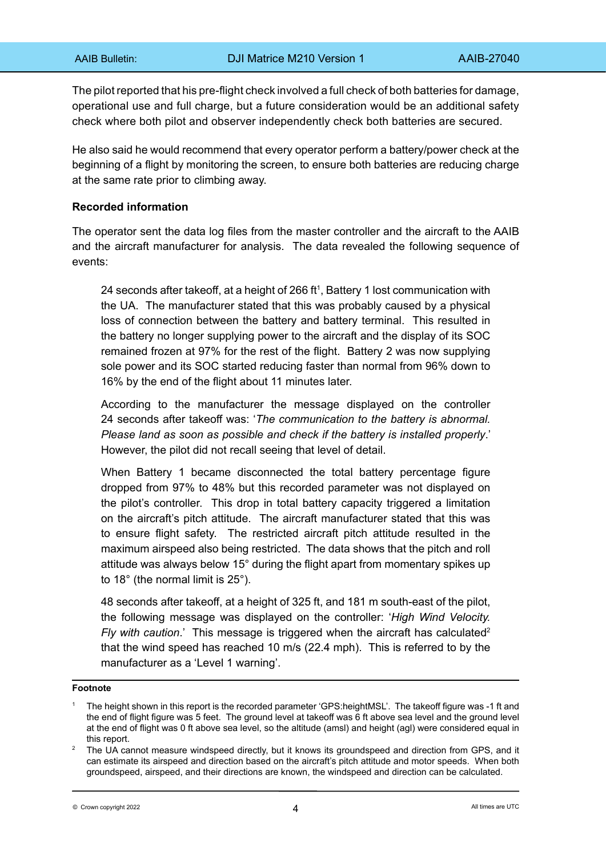The pilot reported that his pre-flight check involved a full check of both batteries for damage, operational use and full charge, but a future consideration would be an additional safety check where both pilot and observer independently check both batteries are secured.

He also said he would recommend that every operator perform a battery/power check at the beginning of a flight by monitoring the screen, to ensure both batteries are reducing charge at the same rate prior to climbing away.

# **Recorded information**

The operator sent the data log files from the master controller and the aircraft to the AAIB and the aircraft manufacturer for analysis. The data revealed the following sequence of events:

24 seconds after takeoff, at a height of 266 ft<sup>1</sup>, Battery 1 lost communication with the UA. The manufacturer stated that this was probably caused by a physical loss of connection between the battery and battery terminal. This resulted in the battery no longer supplying power to the aircraft and the display of its SOC remained frozen at 97% for the rest of the flight. Battery 2 was now supplying sole power and its SOC started reducing faster than normal from 96% down to 16% by the end of the flight about 11 minutes later.

According to the manufacturer the message displayed on the controller 24 seconds after takeoff was: '*The communication to the battery is abnormal. Please land as soon as possible and check if the battery is installed properly*.' However, the pilot did not recall seeing that level of detail.

When Battery 1 became disconnected the total battery percentage figure dropped from 97% to 48% but this recorded parameter was not displayed on the pilot's controller. This drop in total battery capacity triggered a limitation on the aircraft's pitch attitude. The aircraft manufacturer stated that this was to ensure flight safety. The restricted aircraft pitch attitude resulted in the maximum airspeed also being restricted. The data shows that the pitch and roll attitude was always below 15° during the flight apart from momentary spikes up to 18° (the normal limit is 25°).

48 seconds after takeoff, at a height of 325 ft, and 181 m south-east of the pilot, the following message was displayed on the controller: '*High Wind Velocity. Fly with caution.*' This message is triggered when the aircraft has calculated<sup>2</sup> that the wind speed has reached 10 m/s (22.4 mph). This is referred to by the manufacturer as a 'Level 1 warning'.

#### **Footnote**

<sup>1</sup> The height shown in this report is the recorded parameter 'GPS:heightMSL'. The takeoff figure was -1 ft and the end of flight figure was 5 feet. The ground level at takeoff was 6 ft above sea level and the ground level at the end of flight was 0 ft above sea level, so the altitude (amsl) and height (agl) were considered equal in this report.

<sup>2</sup> The UA cannot measure windspeed directly, but it knows its groundspeed and direction from GPS, and it can estimate its airspeed and direction based on the aircraft's pitch attitude and motor speeds. When both groundspeed, airspeed, and their directions are known, the windspeed and direction can be calculated.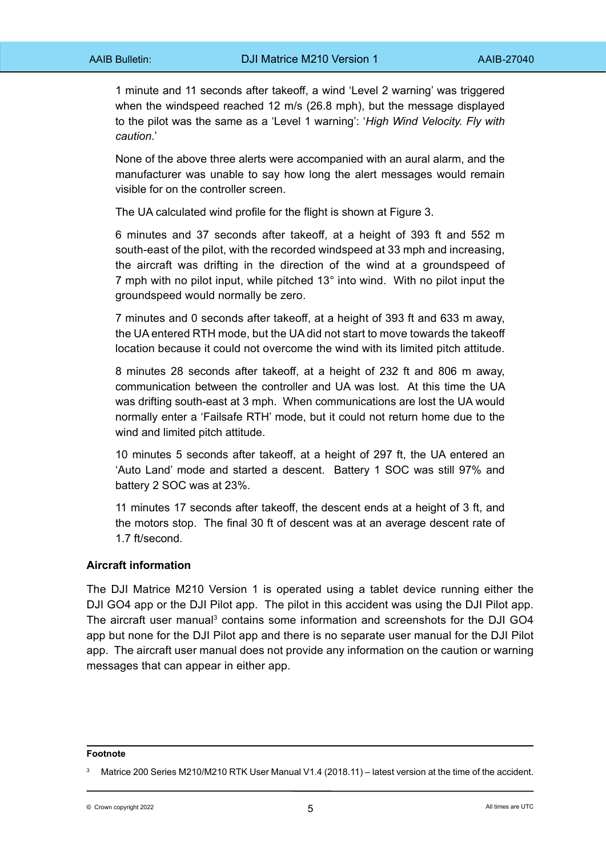1 minute and 11 seconds after takeoff, a wind 'Level 2 warning' was triggered when the windspeed reached 12 m/s (26.8 mph), but the message displayed to the pilot was the same as a 'Level 1 warning': '*High Wind Velocity. Fly with caution*.'

None of the above three alerts were accompanied with an aural alarm, and the manufacturer was unable to say how long the alert messages would remain visible for on the controller screen.

The UA calculated wind profile for the flight is shown at Figure 3.

6 minutes and 37 seconds after takeoff, at a height of 393 ft and 552 m south-east of the pilot, with the recorded windspeed at 33 mph and increasing, the aircraft was drifting in the direction of the wind at a groundspeed of 7 mph with no pilot input, while pitched 13° into wind. With no pilot input the groundspeed would normally be zero.

7 minutes and 0 seconds after takeoff, at a height of 393 ft and 633 m away, the UA entered RTH mode, but the UA did not start to move towards the takeoff location because it could not overcome the wind with its limited pitch attitude.

8 minutes 28 seconds after takeoff, at a height of 232 ft and 806 m away, communication between the controller and UA was lost. At this time the UA was drifting south-east at 3 mph. When communications are lost the UA would normally enter a 'Failsafe RTH' mode, but it could not return home due to the wind and limited pitch attitude.

10 minutes 5 seconds after takeoff, at a height of 297 ft, the UA entered an 'Auto Land' mode and started a descent. Battery 1 SOC was still 97% and battery 2 SOC was at 23%.

11 minutes 17 seconds after takeoff, the descent ends at a height of 3 ft, and the motors stop. The final 30 ft of descent was at an average descent rate of 1.7 ft/second.

### **Aircraft information**

The DJI Matrice M210 Version 1 is operated using a tablet device running either the DJI GO4 app or the DJI Pilot app. The pilot in this accident was using the DJI Pilot app. The aircraft user manual<sup>3</sup> contains some information and screenshots for the DJI GO4 app but none for the DJI Pilot app and there is no separate user manual for the DJI Pilot app. The aircraft user manual does not provide any information on the caution or warning messages that can appear in either app.

#### **Footnote**

Matrice 200 Series M210/M210 RTK User Manual V1.4 (2018.11) – latest version at the time of the accident.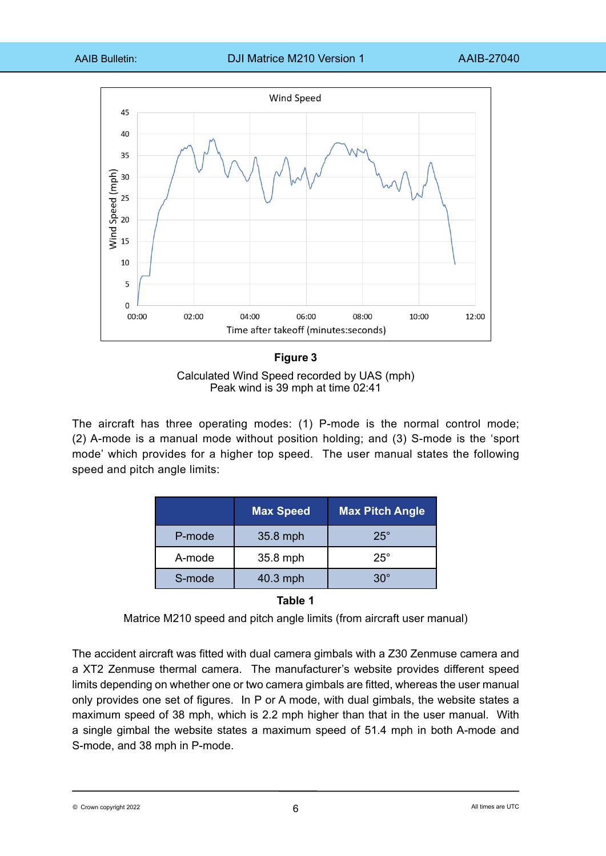

#### **Figure 3**

Calculated Wind Speed recorded by UAS (mph) Peak wind is 39 mph at time 02:41

The aircraft has three operating modes: (1) P-mode is the normal control mode; (2) A-mode is a manual mode without position holding; and (3) S-mode is the 'sport mode' which provides for a higher top speed. The user manual states the following speed and pitch angle limits:

|        | <b>Max Speed</b> | <b>Max Pitch Angle</b> |
|--------|------------------|------------------------|
| P-mode | 35.8 mph         | $25^\circ$             |
| A-mode | 35.8 mph         | $25^\circ$             |
| S-mode | 40.3 mph         | $30^\circ$             |

**Table 1**

The accident aircraft was fitted with dual camera gimbals with a Z30 Zenmuse camera and a XT2 Zenmuse thermal camera. The manufacturer's website provides different speed limits depending on whether one or two camera gimbals are fitted, whereas the user manual only provides one set of figures. In P or A mode, with dual gimbals, the website states a maximum speed of 38 mph, which is 2.2 mph higher than that in the user manual. With a single gimbal the website states a maximum speed of 51.4 mph in both A-mode and S-mode, and 38 mph in P-mode.

© Crown copyright 2022  $\hphantom{a}6$   $\hphantom{a}8$   $\hphantom{a}8$   $\hphantom{a}8$   $\hphantom{a}8$   $\hphantom{a}8$   $\hphantom{a}8$   $\hphantom{a}8$   $\hphantom{a}8$  All times are UTC

Matrice M210 speed and pitch angle limits (from aircraft user manual)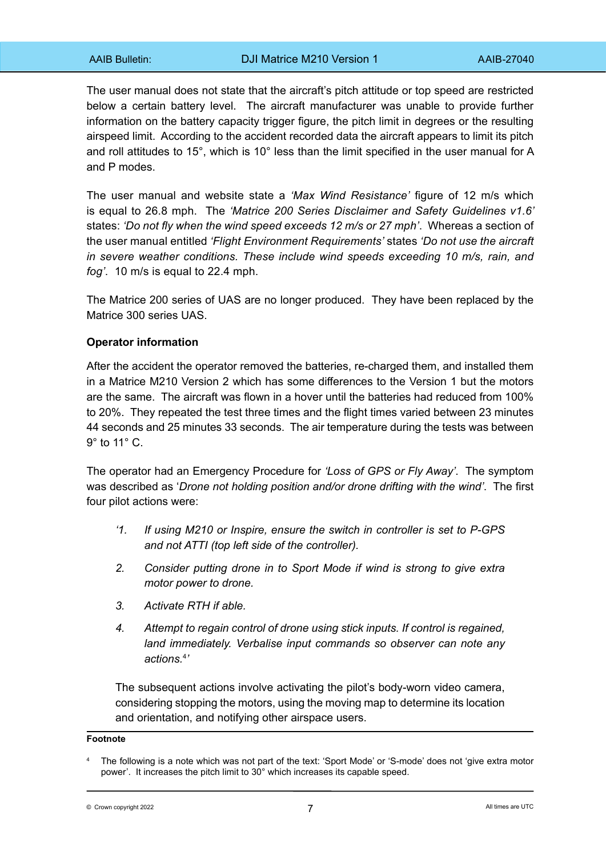The user manual does not state that the aircraft's pitch attitude or top speed are restricted below a certain battery level. The aircraft manufacturer was unable to provide further information on the battery capacity trigger figure, the pitch limit in degrees or the resulting airspeed limit. According to the accident recorded data the aircraft appears to limit its pitch and roll attitudes to 15°, which is 10° less than the limit specified in the user manual for A and P modes.

The user manual and website state a *'Max Wind Resistance'* figure of 12 m/s which is equal to 26.8 mph. The *'Matrice 200 Series Disclaimer and Safety Guidelines v1.6'*  states: *'Do not fly when the wind speed exceeds 12 m/s or 27 mph'*. Whereas a section of the user manual entitled *'Flight Environment Requirements'* states *'Do not use the aircraft in severe weather conditions. These include wind speeds exceeding 10 m/s, rain, and fog'*. 10 m/s is equal to 22.4 mph.

The Matrice 200 series of UAS are no longer produced. They have been replaced by the Matrice 300 series UAS.

# **Operator information**

After the accident the operator removed the batteries, re-charged them, and installed them in a Matrice M210 Version 2 which has some differences to the Version 1 but the motors are the same. The aircraft was flown in a hover until the batteries had reduced from 100% to 20%. They repeated the test three times and the flight times varied between 23 minutes 44 seconds and 25 minutes 33 seconds. The air temperature during the tests was between 9° to 11° C.

The operator had an Emergency Procedure for *'Loss of GPS or Fly Away'*. The symptom was described as '*Drone not holding position and/or drone drifting with the wind'*. The first four pilot actions were:

- *'1. If using M210 or Inspire, ensure the switch in controller is set to P-GPS and not ATTI (top left side of the controller).*
- *2. Consider putting drone in to Sport Mode if wind is strong to give extra motor power to drone.*
- *3. Activate RTH if able.*
- *4. Attempt to regain control of drone using stick inputs. If control is regained, land immediately. Verbalise input commands so observer can note any actions.*<sup>4</sup> *'*

The subsequent actions involve activating the pilot's body-worn video camera, considering stopping the motors, using the moving map to determine its location and orientation, and notifying other airspace users.

#### **Footnote**

 $\sigma$  Crown copyright 2022 **a**  $\sigma$  and  $\sigma$  are UTC  $\sigma$  and  $\sigma$  are  $\sigma$  and  $\sigma$  are  $\sigma$  are  $\sigma$  are  $\sigma$  are  $\sigma$  are  $\sigma$  are  $\sigma$  are  $\sigma$  are  $\sigma$  are  $\sigma$  are  $\sigma$  are  $\sigma$  are  $\sigma$  are  $\sigma$  are  $\sigma$  are  $\sigma$  ar

<sup>4</sup> The following is a note which was not part of the text: 'Sport Mode' or 'S-mode' does not 'give extra motor power'. It increases the pitch limit to 30° which increases its capable speed.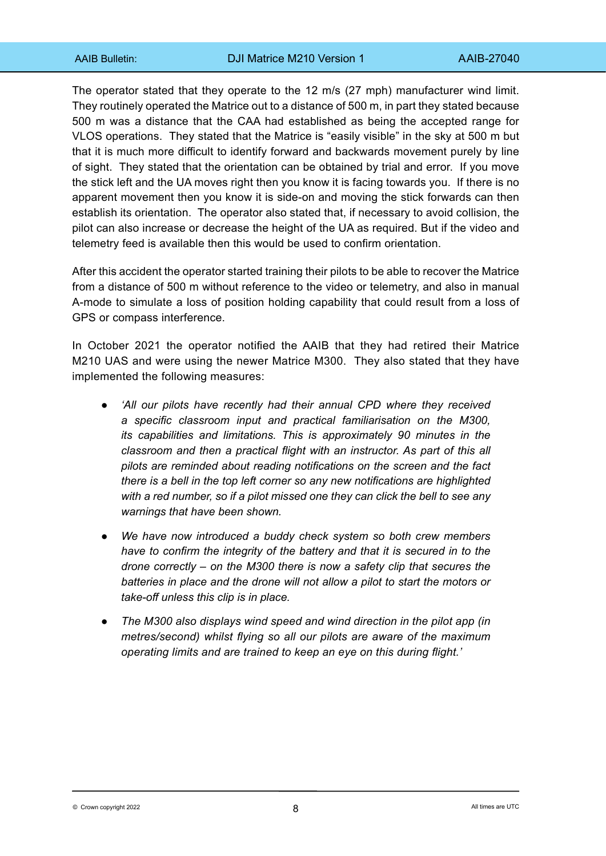The operator stated that they operate to the 12 m/s (27 mph) manufacturer wind limit. They routinely operated the Matrice out to a distance of 500 m, in part they stated because 500 m was a distance that the CAA had established as being the accepted range for VLOS operations. They stated that the Matrice is "easily visible" in the sky at 500 m but that it is much more difficult to identify forward and backwards movement purely by line of sight. They stated that the orientation can be obtained by trial and error. If you move the stick left and the UA moves right then you know it is facing towards you. If there is no apparent movement then you know it is side-on and moving the stick forwards can then establish its orientation. The operator also stated that, if necessary to avoid collision, the pilot can also increase or decrease the height of the UA as required. But if the video and telemetry feed is available then this would be used to confirm orientation.

After this accident the operator started training their pilots to be able to recover the Matrice from a distance of 500 m without reference to the video or telemetry, and also in manual A-mode to simulate a loss of position holding capability that could result from a loss of GPS or compass interference.

In October 2021 the operator notified the AAIB that they had retired their Matrice M210 UAS and were using the newer Matrice M300. They also stated that they have implemented the following measures:

- *'All our pilots have recently had their annual CPD where they received a specific classroom input and practical familiarisation on the M300, its capabilities and limitations. This is approximately 90 minutes in the classroom and then a practical flight with an instructor. As part of this all pilots are reminded about reading notifications on the screen and the fact there is a bell in the top left corner so any new notifications are highlighted with a red number, so if a pilot missed one they can click the bell to see any warnings that have been shown.*
- We have now introduced a buddy check system so both crew members *have to confirm the integrity of the battery and that it is secured in to the drone correctly – on the M300 there is now a safety clip that secures the batteries in place and the drone will not allow a pilot to start the motors or take-off unless this clip is in place.*
- *The M300 also displays wind speed and wind direction in the pilot app (in metres/second) whilst flying so all our pilots are aware of the maximum operating limits and are trained to keep an eye on this during flight.'*

 $8$   $8$   $8$   $100$   $8$   $100$   $100$   $8$   $100$   $100$   $100$   $100$   $100$   $100$   $100$   $100$   $100$   $100$   $100$   $100$   $100$   $100$   $100$   $100$   $100$   $100$   $100$   $100$   $100$   $100$   $100$   $100$   $100$   $100$   $100$   $100$   $100$   $100$   $10$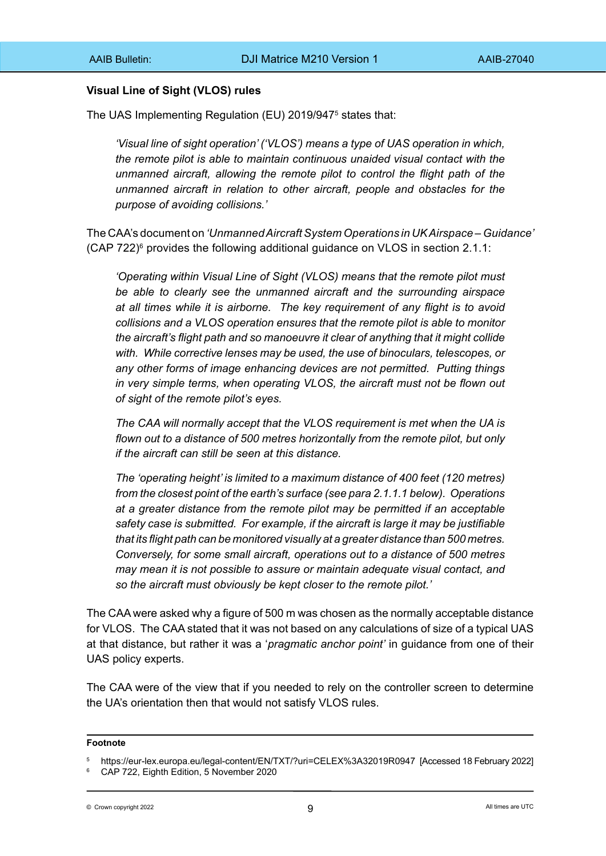# **Visual Line of Sight (VLOS) rules**

The UAS Implementing Regulation (EU) 2019/947<sup>5</sup> states that:

*'Visual line of sight operation' ('VLOS') means a type of UAS operation in which, the remote pilot is able to maintain continuous unaided visual contact with the unmanned aircraft, allowing the remote pilot to control the flight path of the unmanned aircraft in relation to other aircraft, people and obstacles for the purpose of avoiding collisions.'*

The CAA's document on *'Unmanned Aircraft System Operations in UK Airspace – Guidance'*  (CAP 722) $^6$  provides the following additional guidance on VLOS in section 2.1.1:

*'Operating within Visual Line of Sight (VLOS) means that the remote pilot must be able to clearly see the unmanned aircraft and the surrounding airspace at all times while it is airborne. The key requirement of any flight is to avoid collisions and a VLOS operation ensures that the remote pilot is able to monitor the aircraft's flight path and so manoeuvre it clear of anything that it might collide with. While corrective lenses may be used, the use of binoculars, telescopes, or any other forms of image enhancing devices are not permitted. Putting things in very simple terms, when operating VLOS, the aircraft must not be flown out of sight of the remote pilot's eyes.*

*The CAA will normally accept that the VLOS requirement is met when the UA is flown out to a distance of 500 metres horizontally from the remote pilot, but only if the aircraft can still be seen at this distance.*

*The 'operating height' is limited to a maximum distance of 400 feet (120 metres) from the closest point of the earth's surface (see para 2.1.1.1 below). Operations at a greater distance from the remote pilot may be permitted if an acceptable safety case is submitted. For example, if the aircraft is large it may be justifiable that its flight path can be monitored visually at a greater distance than 500 metres. Conversely, for some small aircraft, operations out to a distance of 500 metres may mean it is not possible to assure or maintain adequate visual contact, and so the aircraft must obviously be kept closer to the remote pilot.'*

The CAA were asked why a figure of 500 m was chosen as the normally acceptable distance for VLOS. The CAA stated that it was not based on any calculations of size of a typical UAS at that distance, but rather it was a '*pragmatic anchor point'* in guidance from one of their UAS policy experts.

The CAA were of the view that if you needed to rely on the controller screen to determine the UA's orientation then that would not satisfy VLOS rules.

#### **Footnote**

 $9$   $9$   $1$   $1$  times are UTC

<sup>5</sup> https://eur-lex.europa.eu/legal-content/EN/TXT/?uri=CELEX%3A32019R0947 [Accessed 18 February 2022]

<sup>6</sup> CAP 722, Eighth Edition, 5 November 2020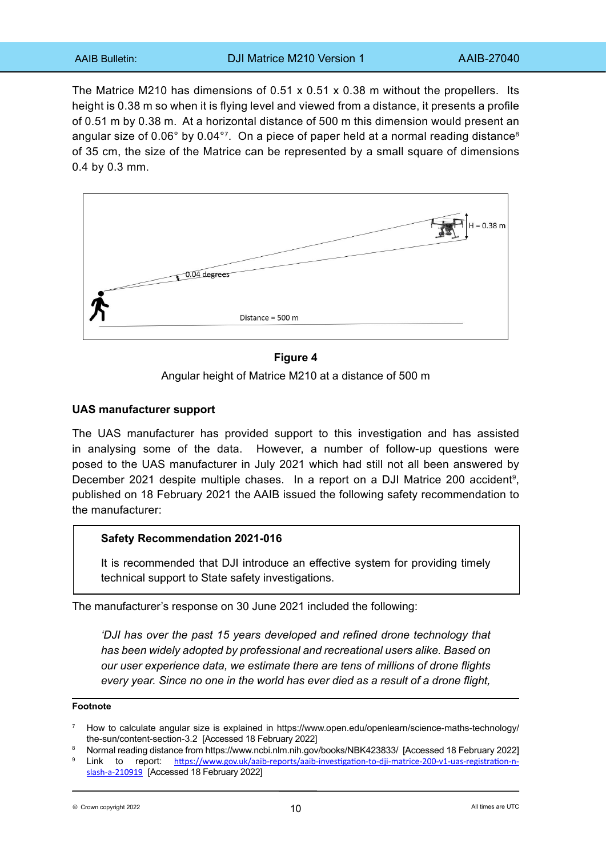The Matrice M210 has dimensions of 0.51 x 0.51 x 0.38 m without the propellers. Its height is 0.38 m so when it is flying level and viewed from a distance, it presents a profile of 0.51 m by 0.38 m. At a horizontal distance of 500 m this dimension would present an angular size of  $0.06^{\circ}$  by  $0.04^{\circ}$ . On a piece of paper held at a normal reading distance<sup>8</sup> of 35 cm, the size of the Matrice can be represented by a small square of dimensions 0.4 by 0.3 mm.



# **Figure 4**

Angular height of Matrice M210 at a distance of 500 m

### **UAS manufacturer support**

The UAS manufacturer has provided support to this investigation and has assisted in analysing some of the data. However, a number of follow-up questions were posed to the UAS manufacturer in July 2021 which had still not all been answered by December 2021 despite multiple chases. In a report on a DJI Matrice 200 accident<sup>9</sup>, published on 18 February 2021 the AAIB issued the following safety recommendation to the manufacturer:

### **Safety Recommendation 2021-016**

It is recommended that DJI introduce an effective system for providing timely technical support to State safety investigations.

The manufacturer's response on 30 June 2021 included the following:

*'DJI has over the past 15 years developed and refined drone technology that has been widely adopted by professional and recreational users alike. Based on our user experience data, we estimate there are tens of millions of drone flights every year. Since no one in the world has ever died as a result of a drone flight,* 

### **Footnote**

- <sup>8</sup> Normal reading distance from https://www.ncbi.nlm.nih.gov/books/NBK423833/ [Accessed 18 February 2022]
- Link to report: [https://www.gov.uk/aaib-reports/aaib-investigation-to-dji-matrice-200-v1-uas-registration-n](https://www.gov.uk/aaib-reports/aaib-investigation-to-dji-matrice-200-v1-uas-registration-n-slash-a-210919)[slash-a-210919](https://www.gov.uk/aaib-reports/aaib-investigation-to-dji-matrice-200-v1-uas-registration-n-slash-a-210919) [Accessed 18 February 2022]

<sup>7</sup> How to calculate angular size is explained in https://www.open.edu/openlearn/science-maths-technology/ the-sun/content-section-3.2 [Accessed 18 February 2022]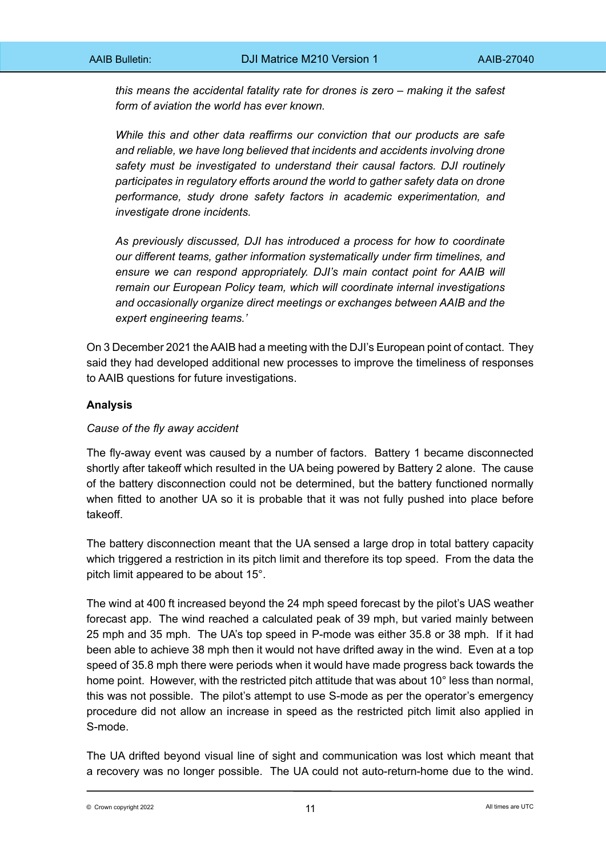*this means the accidental fatality rate for drones is zero – making it the safest form of aviation the world has ever known.*

*While this and other data reaffirms our conviction that our products are safe and reliable, we have long believed that incidents and accidents involving drone safety must be investigated to understand their causal factors. DJI routinely participates in regulatory efforts around the world to gather safety data on drone performance, study drone safety factors in academic experimentation, and investigate drone incidents.*

*As previously discussed, DJI has introduced a process for how to coordinate our different teams, gather information systematically under firm timelines, and ensure we can respond appropriately. DJI's main contact point for AAIB will remain our European Policy team, which will coordinate internal investigations and occasionally organize direct meetings or exchanges between AAIB and the expert engineering teams.'*

On 3 December 2021 the AAIB had a meeting with the DJI's European point of contact. They said they had developed additional new processes to improve the timeliness of responses to AAIB questions for future investigations.

# **Analysis**

# *Cause of the fly away accident*

The fly-away event was caused by a number of factors. Battery 1 became disconnected shortly after takeoff which resulted in the UA being powered by Battery 2 alone. The cause of the battery disconnection could not be determined, but the battery functioned normally when fitted to another UA so it is probable that it was not fully pushed into place before takeoff.

The battery disconnection meant that the UA sensed a large drop in total battery capacity which triggered a restriction in its pitch limit and therefore its top speed. From the data the pitch limit appeared to be about 15°.

The wind at 400 ft increased beyond the 24 mph speed forecast by the pilot's UAS weather forecast app. The wind reached a calculated peak of 39 mph, but varied mainly between 25 mph and 35 mph. The UA's top speed in P-mode was either 35.8 or 38 mph. If it had been able to achieve 38 mph then it would not have drifted away in the wind. Even at a top speed of 35.8 mph there were periods when it would have made progress back towards the home point. However, with the restricted pitch attitude that was about 10° less than normal, this was not possible. The pilot's attempt to use S-mode as per the operator's emergency procedure did not allow an increase in speed as the restricted pitch limit also applied in S-mode.

The UA drifted beyond visual line of sight and communication was lost which meant that a recovery was no longer possible. The UA could not auto-return-home due to the wind.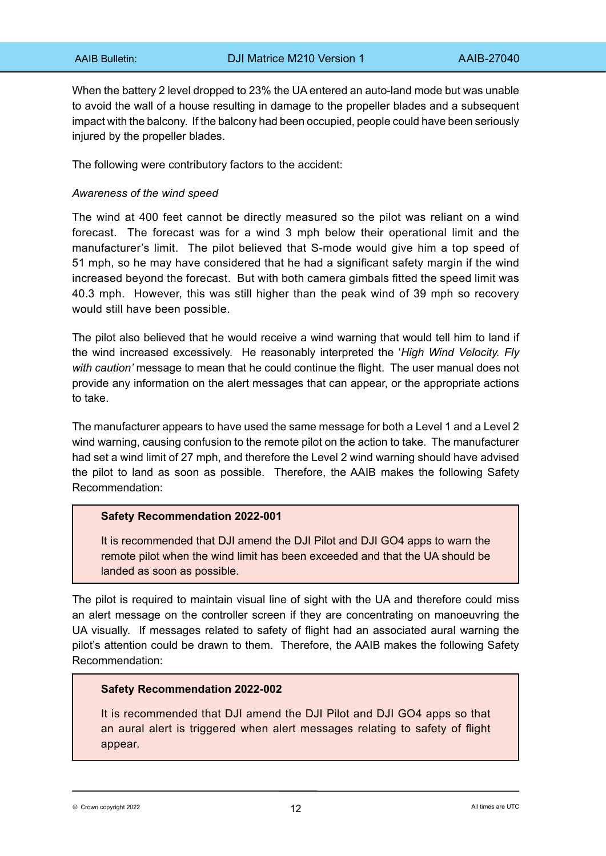When the battery 2 level dropped to 23% the UA entered an auto-land mode but was unable to avoid the wall of a house resulting in damage to the propeller blades and a subsequent impact with the balcony. If the balcony had been occupied, people could have been seriously injured by the propeller blades.

The following were contributory factors to the accident:

## *Awareness of the wind speed*

The wind at 400 feet cannot be directly measured so the pilot was reliant on a wind forecast. The forecast was for a wind 3 mph below their operational limit and the manufacturer's limit. The pilot believed that S-mode would give him a top speed of 51 mph, so he may have considered that he had a significant safety margin if the wind increased beyond the forecast. But with both camera gimbals fitted the speed limit was 40.3 mph. However, this was still higher than the peak wind of 39 mph so recovery would still have been possible.

The pilot also believed that he would receive a wind warning that would tell him to land if the wind increased excessively. He reasonably interpreted the '*High Wind Velocity. Fly with caution'* message to mean that he could continue the flight. The user manual does not provide any information on the alert messages that can appear, or the appropriate actions to take.

The manufacturer appears to have used the same message for both a Level 1 and a Level 2 wind warning, causing confusion to the remote pilot on the action to take. The manufacturer had set a wind limit of 27 mph, and therefore the Level 2 wind warning should have advised the pilot to land as soon as possible. Therefore, the AAIB makes the following Safety Recommendation:

### **Safety Recommendation 2022-001**

It is recommended that DJI amend the DJI Pilot and DJI GO4 apps to warn the remote pilot when the wind limit has been exceeded and that the UA should be landed as soon as possible.

The pilot is required to maintain visual line of sight with the UA and therefore could miss an alert message on the controller screen if they are concentrating on manoeuvring the UA visually. If messages related to safety of flight had an associated aural warning the pilot's attention could be drawn to them. Therefore, the AAIB makes the following Safety Recommendation:

# **Safety Recommendation 2022-002**

It is recommended that DJI amend the DJI Pilot and DJI GO4 apps so that an aural alert is triggered when alert messages relating to safety of flight appear.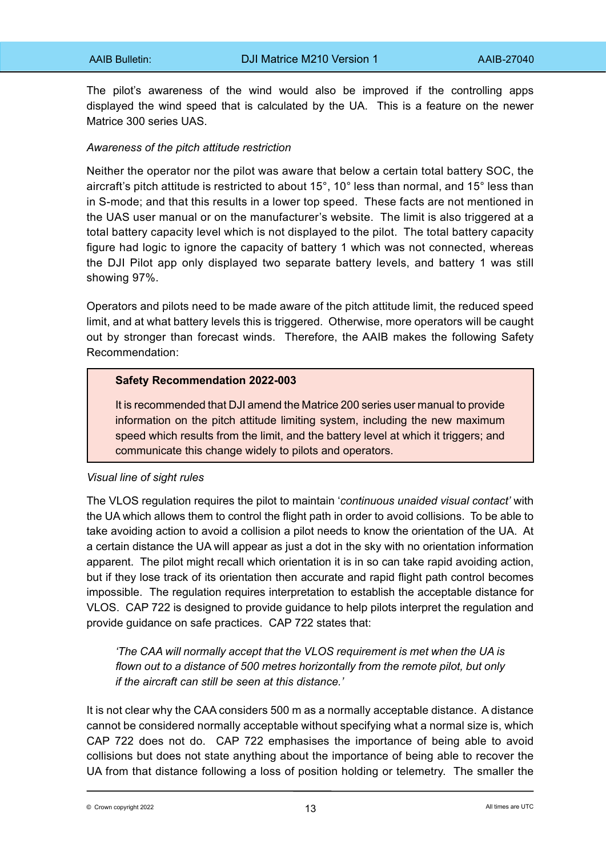The pilot's awareness of the wind would also be improved if the controlling apps displayed the wind speed that is calculated by the UA. This is a feature on the newer Matrice 300 series UAS.

# *Awareness of the pitch attitude restriction*

Neither the operator nor the pilot was aware that below a certain total battery SOC, the aircraft's pitch attitude is restricted to about 15°, 10° less than normal, and 15° less than in S-mode; and that this results in a lower top speed. These facts are not mentioned in the UAS user manual or on the manufacturer's website. The limit is also triggered at a total battery capacity level which is not displayed to the pilot. The total battery capacity figure had logic to ignore the capacity of battery 1 which was not connected, whereas the DJI Pilot app only displayed two separate battery levels, and battery 1 was still showing 97%.

Operators and pilots need to be made aware of the pitch attitude limit, the reduced speed limit, and at what battery levels this is triggered. Otherwise, more operators will be caught out by stronger than forecast winds. Therefore, the AAIB makes the following Safety Recommendation:

# **Safety Recommendation 2022-003**

It is recommended that DJI amend the Matrice 200 series user manual to provide information on the pitch attitude limiting system, including the new maximum speed which results from the limit, and the battery level at which it triggers; and communicate this change widely to pilots and operators.

### *Visual line of sight rules*

The VLOS regulation requires the pilot to maintain '*continuous unaided visual contact'* with the UA which allows them to control the flight path in order to avoid collisions. To be able to take avoiding action to avoid a collision a pilot needs to know the orientation of the UA. At a certain distance the UA will appear as just a dot in the sky with no orientation information apparent. The pilot might recall which orientation it is in so can take rapid avoiding action, but if they lose track of its orientation then accurate and rapid flight path control becomes impossible. The regulation requires interpretation to establish the acceptable distance for VLOS. CAP 722 is designed to provide guidance to help pilots interpret the regulation and provide guidance on safe practices. CAP 722 states that:

*'The CAA will normally accept that the VLOS requirement is met when the UA is flown out to a distance of 500 metres horizontally from the remote pilot, but only if the aircraft can still be seen at this distance.'*

It is not clear why the CAA considers 500 m as a normally acceptable distance. A distance cannot be considered normally acceptable without specifying what a normal size is, which CAP 722 does not do. CAP 722 emphasises the importance of being able to avoid collisions but does not state anything about the importance of being able to recover the UA from that distance following a loss of position holding or telemetry. The smaller the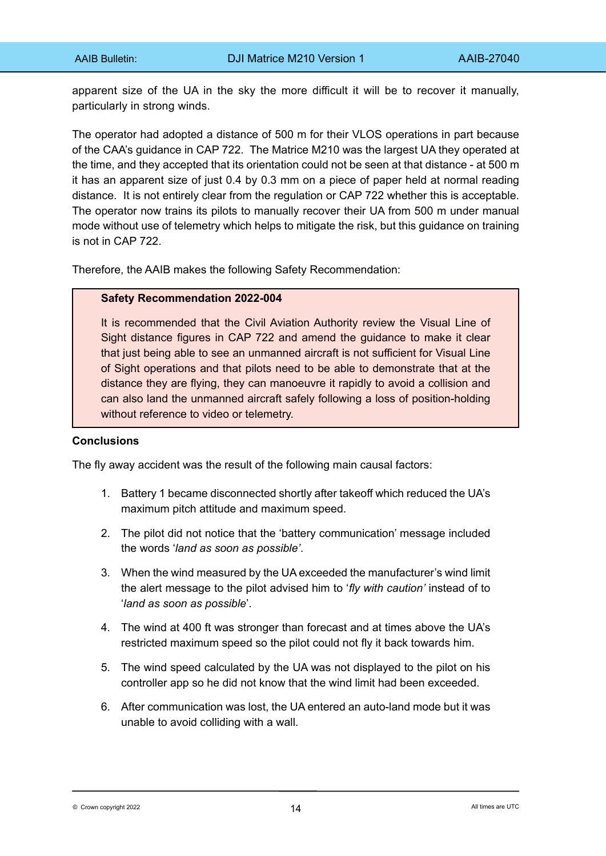apparent size of the UA in the sky the more difficult it will be to recover it manually, particularly in strong winds.

The operator had adopted a distance of 500 m for their VLOS operations in part because of the CAA's guidance in CAP 722. The Matrice M210 was the largest UA they operated at the time, and they accepted that its orientation could not be seen at that distance - at 500 m it has an apparent size of just 0.4 by 0.3 mm on a piece of paper held at normal reading distance. It is not entirely clear from the regulation or CAP 722 whether this is acceptable. The operator now trains its pilots to manually recover their UA from 500 m under manual mode without use of telemetry which helps to mitigate the risk, but this guidance on training is not in CAP 722.

Therefore, the AAIB makes the following Safety Recommendation:

### **Safety Recommendation 2022-004**

It is recommended that the Civil Aviation Authority review the Visual Line of Sight distance figures in CAP 722 and amend the guidance to make it clear that just being able to see an unmanned aircraft is not sufficient for Visual Line of Sight operations and that pilots need to be able to demonstrate that at the distance they are flying, they can manoeuvre it rapidly to avoid a collision and can also land the unmanned aircraft safely following a loss of position-holding without reference to video or telemetry.

# **Conclusions**

The fly away accident was the result of the following main causal factors:

- 1. Battery 1 became disconnected shortly after takeoff which reduced the UA's maximum pitch attitude and maximum speed.
- 2. The pilot did not notice that the 'battery communication' message included the words '*land as soon as possible'*.
- 3. When the wind measured by the UA exceeded the manufacturer's wind limit the alert message to the pilot advised him to '*fly with caution'* instead of to '*land as soon as possible*'.
- 4. The wind at 400 ft was stronger than forecast and at times above the UA's restricted maximum speed so the pilot could not fly it back towards him.
- 5. The wind speed calculated by the UA was not displayed to the pilot on his controller app so he did not know that the wind limit had been exceeded.
- 6. After communication was lost, the UA entered an auto-land mode but it was unable to avoid colliding with a wall.

 $\bullet$  Crown copyright 2022 **All times are UTC**